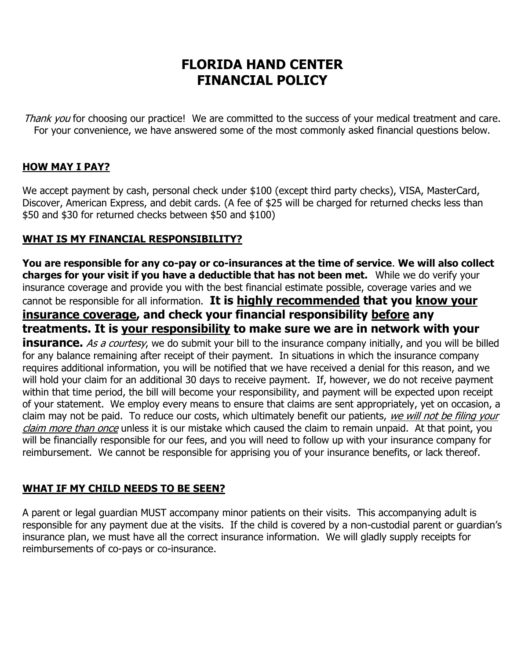# **FLORIDA HAND CENTER FINANCIAL POLICY**

Thank you for choosing our practice! We are committed to the success of your medical treatment and care. For your convenience, we have answered some of the most commonly asked financial questions below.

### **HOW MAY I PAY?**

We accept payment by cash, personal check under \$100 (except third party checks), VISA, MasterCard, Discover, American Express, and debit cards. (A fee of \$25 will be charged for returned checks less than \$50 and \$30 for returned checks between \$50 and \$100)

### **WHAT IS MY FINANCIAL RESPONSIBILITY?**

**You are responsible for any co-pay or co-insurances at the time of service**. **We will also collect charges for your visit if you have a deductible that has not been met.** While we do verify your insurance coverage and provide you with the best financial estimate possible, coverage varies and we cannot be responsible for all information. **It is highly recommended that you know your insurance coverage, and check your financial responsibility before any treatments. It is your responsibility to make sure we are in network with your insurance.** As a courtesy, we do submit your bill to the insurance company initially, and you will be billed for any balance remaining after receipt of their payment. In situations in which the insurance company requires additional information, you will be notified that we have received a denial for this reason, and we will hold your claim for an additional 30 days to receive payment. If, however, we do not receive payment within that time period, the bill will become your responsibility, and payment will be expected upon receipt of your statement. We employ every means to ensure that claims are sent appropriately, yet on occasion, a claim may not be paid. To reduce our costs, which ultimately benefit our patients, we will not be filing your claim more than once unless it is our mistake which caused the claim to remain unpaid. At that point, you will be financially responsible for our fees, and you will need to follow up with your insurance company for reimbursement. We cannot be responsible for apprising you of your insurance benefits, or lack thereof.

### **WHAT IF MY CHILD NEEDS TO BE SEEN?**

A parent or legal guardian MUST accompany minor patients on their visits. This accompanying adult is responsible for any payment due at the visits. If the child is covered by a non-custodial parent or guardian's insurance plan, we must have all the correct insurance information. We will gladly supply receipts for reimbursements of co-pays or co-insurance.